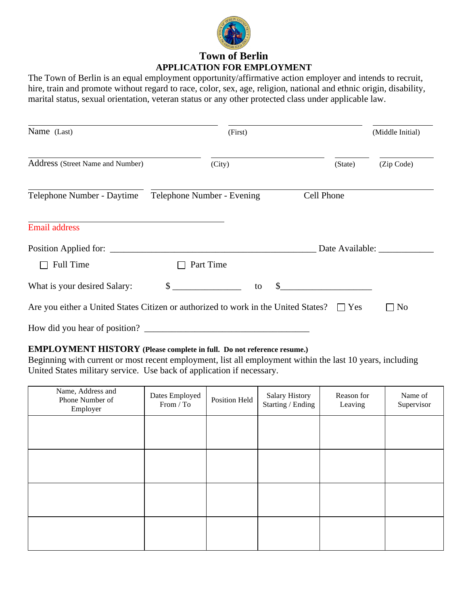

# **Town of Berlin APPLICATION FOR EMPLOYMENT**

The Town of Berlin is an equal employment opportunity/affirmative action employer and intends to recruit, hire, train and promote without regard to race, color, sex, age, religion, national and ethnic origin, disability, marital status, sexual orientation, veteran status or any other protected class under applicable law.

| Name (Last)                                                                                   | (First)                    |                 | (Middle Initial)     |
|-----------------------------------------------------------------------------------------------|----------------------------|-----------------|----------------------|
| Address (Street Name and Number)                                                              | (City)                     | (State)         | (Zip Code)           |
| Telephone Number - Daytime                                                                    | Telephone Number - Evening | Cell Phone      |                      |
| <b>Email address</b>                                                                          |                            |                 |                      |
| Position Applied for:                                                                         |                            | Date Available: |                      |
| <b>Full Time</b>                                                                              | Part Time                  |                 |                      |
| What is your desired Salary:                                                                  | $\mathbb{S}$<br>\$<br>to   |                 |                      |
| Are you either a United States Citizen or authorized to work in the United States? $\Box$ Yes |                            |                 | No<br>$\blacksquare$ |
| How did you hear of position?                                                                 |                            |                 |                      |

### **EMPLOYMENT HISTORY (Please complete in full. Do not reference resume.)**

Beginning with current or most recent employment, list all employment within the last 10 years, including United States military service. Use back of application if necessary.

| Name, Address and<br>Phone Number of<br>Employer | Dates Employed<br>From / To | Position Held | Salary History<br>Starting / Ending | Reason for<br>Leaving | Name of<br>Supervisor |
|--------------------------------------------------|-----------------------------|---------------|-------------------------------------|-----------------------|-----------------------|
|                                                  |                             |               |                                     |                       |                       |
|                                                  |                             |               |                                     |                       |                       |
|                                                  |                             |               |                                     |                       |                       |
|                                                  |                             |               |                                     |                       |                       |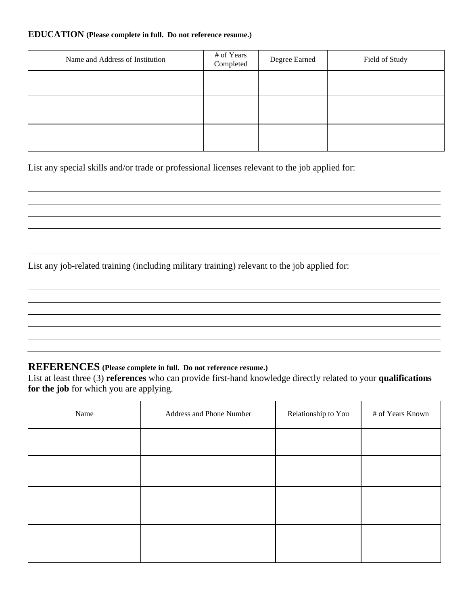#### **EDUCATION (Please complete in full. Do not reference resume.)**

| Name and Address of Institution | # of Years<br>Completed | Degree Earned | Field of Study |
|---------------------------------|-------------------------|---------------|----------------|
|                                 |                         |               |                |
|                                 |                         |               |                |
|                                 |                         |               |                |

List any special skills and/or trade or professional licenses relevant to the job applied for:

List any job-related training (including military training) relevant to the job applied for:

### **REFERENCES (Please complete in full. Do not reference resume.)**

List at least three (3) **references** who can provide first-hand knowledge directly related to your **qualifications for the job** for which you are applying.

| Name | Address and Phone Number | Relationship to You | # of Years Known |
|------|--------------------------|---------------------|------------------|
|      |                          |                     |                  |
|      |                          |                     |                  |
|      |                          |                     |                  |
|      |                          |                     |                  |